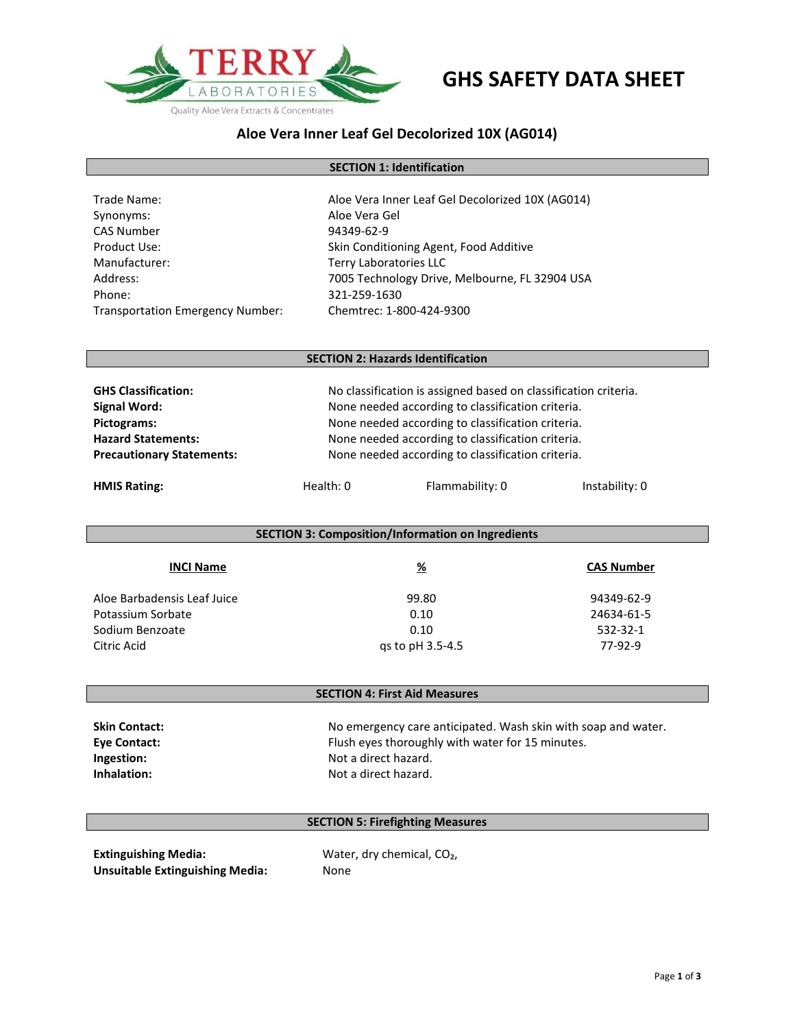

# **GHS SAFETY DATA SHEET**

## **Aloe Vera Inner Leaf Gel Decolorized 10X (AG014)**

### **SECTION 1: Identification**

| Trade Name:                             | Aloe Vera Inner Leaf Gel Decolorized 10X (AG014) |
|-----------------------------------------|--------------------------------------------------|
| Synonyms:                               | Aloe Vera Gel                                    |
| <b>CAS Number</b>                       | 94349-62-9                                       |
| Product Use:                            | Skin Conditioning Agent, Food Additive           |
| Manufacturer:                           | Terry Laboratories LLC                           |
| Address:                                | 7005 Technology Drive, Melbourne, FL 32904 USA   |
| Phone:                                  | 321-259-1630                                     |
| <b>Transportation Emergency Number:</b> | Chemtrec: 1-800-424-9300                         |

#### **SECTION 2: Hazards Identification**

| <b>GHS Classification:</b>       |                                                   | No classification is assigned based on classification criteria. |                |
|----------------------------------|---------------------------------------------------|-----------------------------------------------------------------|----------------|
| Signal Word:                     |                                                   | None needed according to classification criteria.               |                |
| Pictograms:                      |                                                   | None needed according to classification criteria.               |                |
| <b>Hazard Statements:</b>        |                                                   | None needed according to classification criteria.               |                |
| <b>Precautionary Statements:</b> | None needed according to classification criteria. |                                                                 |                |
| <b>HMIS Rating:</b>              | Health: 0                                         | Flammability: 0                                                 | Instability: 0 |

| <b>SECTION 3: Composition/Information on Ingredients</b> |                  |                   |
|----------------------------------------------------------|------------------|-------------------|
| <b>INCI Name</b>                                         | <u>%</u>         | <b>CAS Number</b> |
| Aloe Barbadensis Leaf Juice                              | 99.80            | 94349-62-9        |
| Potassium Sorbate                                        | 0.10             | 24634-61-5        |
| Sodium Benzoate                                          | 0.10             | 532-32-1          |
| Citric Acid                                              | gs to pH 3.5-4.5 | 77-92-9           |

### **SECTION 4: First Aid Measures**

| <b>Skin Contact:</b> | No emergency care anticipated. Wash skin with soap and water. |
|----------------------|---------------------------------------------------------------|
| <b>Eve Contact:</b>  | Flush eyes thoroughly with water for 15 minutes.              |
| Ingestion:           | Not a direct hazard.                                          |
| Inhalation:          | Not a direct hazard.                                          |

### **SECTION 5: Firefighting Measures**

**Extinguishing Media:** Water, dry chemical, CO<sub>2</sub>, **Unsuitable Extinguishing Media:** None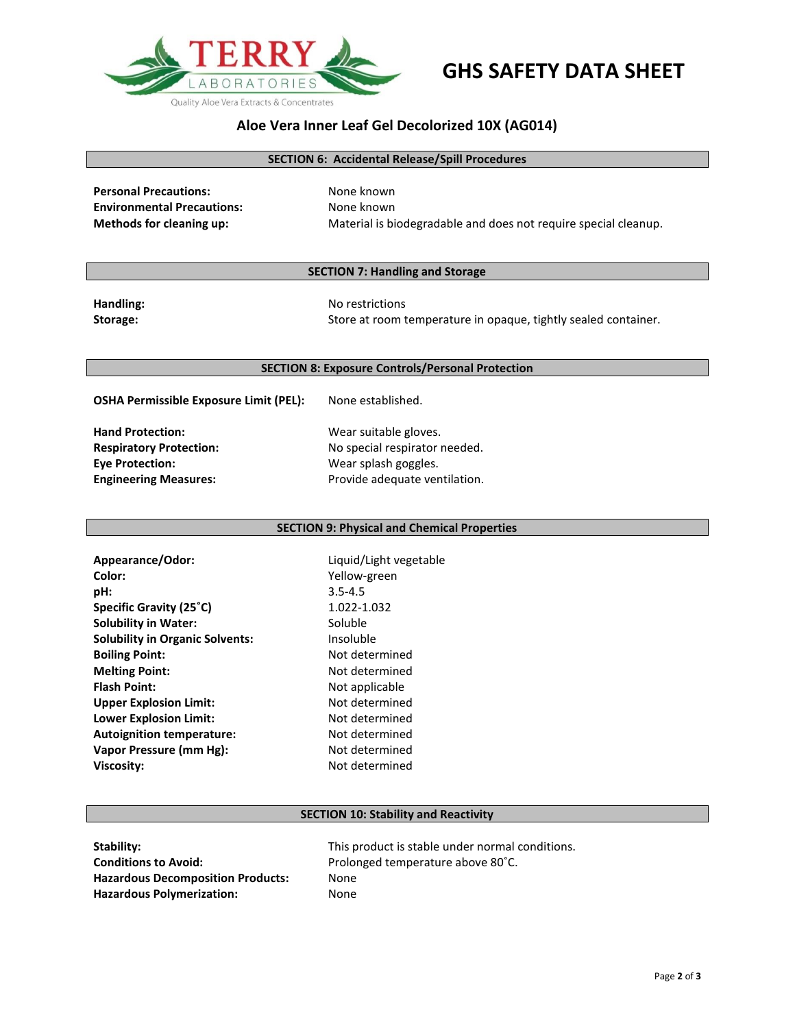

# **GHS SAFETY DATA SHEET**

## **Aloe Vera Inner Leaf Gel Decolorized 10X (AG014)**

#### **SECTION 6: Accidental Release/Spill Procedures**

| <b>Personal Precautions:</b>      | None known                                                      |
|-----------------------------------|-----------------------------------------------------------------|
| <b>Environmental Precautions:</b> | None known                                                      |
| Methods for cleaning up:          | Material is biodegradable and does not require special cleanup. |

#### **SECTION 7: Handling and Storage**

**Handling:** No restrictions Storage: Store at room temperature in opaque, tightly sealed container.

#### **SECTION 8: Exposure Controls/Personal Protection**

**OSHA Permissible Exposure Limit (PEL):** None established.

**Hand Protection:** Wear suitable gloves. **Eye Protection:** Wear splash goggles.

**Respiratory Protection:** No special respirator needed. **Engineering Measures:** Provide adequate ventilation.

#### **SECTION 9: Physical and Chemical Properties**

**Appearance/Odor:** Liquid/Light vegetable **Color:** Yellow-green **pH:** 3.5-4.5 **Specific Gravity (25<sup>°</sup>C)** 1.022-1.032 **Solubility in Water:** Soluble **Solubility in Organic Solvents:** Insoluble **Boiling Point:** Not determined **Melting Point:** Not determined **Flash Point:** Not applicable **Upper Explosion Limit:** Not determined **Lower Explosion Limit:** Not determined Autoignition temperature: Not determined **Vapor Pressure (mm Hg):** Not determined **Viscosity:** Not determined

#### **SECTION 10: Stability and Reactivity**

| Stability:                               | This product is stable under normal conditions. |
|------------------------------------------|-------------------------------------------------|
| <b>Conditions to Avoid:</b>              | Prolonged temperature above 80°C.               |
| <b>Hazardous Decomposition Products:</b> | None                                            |
| <b>Hazardous Polymerization:</b>         | None                                            |